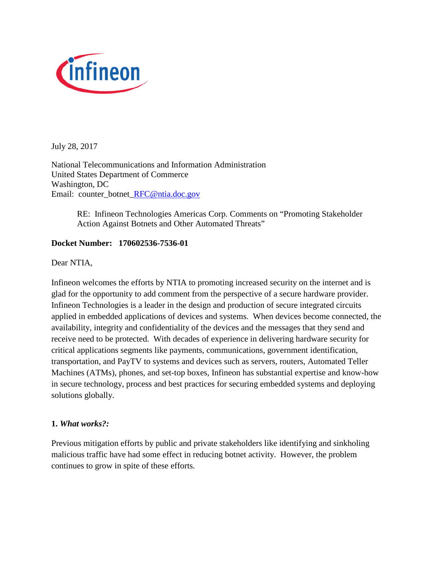

July 28, 2017

National Telecommunications and Information Administration United States Department of Commerce Washington, DC Email: counter\_botnet\_RFC@ntia.doc.gov

> RE: Infineon Technologies Americas Corp. Comments on "Promoting Stakeholder Action Against Botnets and Other Automated Threats"

### **Docket Number: 170602536-7536-01**

Dear NTIA,

Infineon welcomes the efforts by NTIA to promoting increased security on the internet and is glad for the opportunity to add comment from the perspective of a secure hardware provider. Infineon Technologies is a leader in the design and production of secure integrated circuits applied in embedded applications of devices and systems. When devices become connected, the availability, integrity and confidentiality of the devices and the messages that they send and receive need to be protected. With decades of experience in delivering hardware security for critical applications segments like payments, communications, government identification, transportation, and PayTV to systems and devices such as servers, routers, Automated Teller Machines (ATMs), phones, and set-top boxes, Infineon has substantial expertise and know-how in secure technology, process and best practices for securing embedded systems and deploying solutions globally.

### **1.** *What works?:*

Previous mitigation efforts by public and private stakeholders like identifying and sinkholing malicious traffic have had some effect in reducing botnet activity. However, the problem continues to grow in spite of these efforts.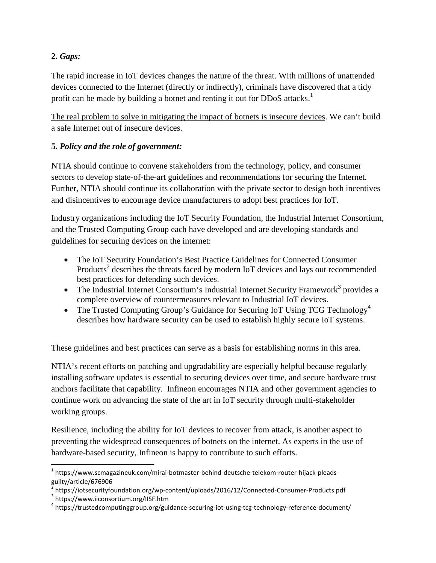# **2.** *Gaps:*

The rapid increase in IoT devices changes the nature of the threat. With millions of unattended devices connected to the Internet (directly or indirectly), criminals have discovered that a tidy profit can be made by building a botnet and renting it out for DDoS attacks.<sup>1</sup>

The real problem to solve in mitigating the impact of botnets is insecure devices. We can't build a safe Internet out of insecure devices.

# **5.** *Policy and the role of government:*

NTIA should continue to convene stakeholders from the technology, policy, and consumer sectors to develop state-of-the-art guidelines and recommendations for securing the Internet. Further, NTIA should continue its collaboration with the private sector to design both incentives and disincentives to encourage device manufacturers to adopt best practices for IoT.

Industry organizations including the IoT Security Foundation, the Industrial Internet Consortium, and the Trusted Computing Group each have developed and are developing standards and guidelines for securing devices on the internet:

- The IoT Security Foundation's Best Practice Guidelines for Connected Consumer Products<sup>2</sup> describes the threats faced by modern IoT devices and lays out recommended best practices for defending such devices.
- The Industrial Internet Consortium's Industrial Internet Security Framework<sup>3</sup> provides a complete overview of countermeasures relevant to Industrial IoT devices.
- The Trusted Computing Group's Guidance for Securing IoT Using TCG Technology<sup>4</sup> describes how hardware security can be used to establish highly secure IoT systems.

These guidelines and best practices can serve as a basis for establishing norms in this area.

NTIA's recent efforts on patching and upgradability are especially helpful because regularly installing software updates is essential to securing devices over time, and secure hardware trust anchors facilitate that capability. Infineon encourages NTIA and other government agencies to continue work on advancing the state of the art in IoT security through multi-stakeholder working groups.

Resilience, including the ability for IoT devices to recover from attack, is another aspect to preventing the widespread consequences of botnets on the internet. As experts in the use of hardware-based security, Infineon is happy to contribute to such efforts.

<sup>&</sup>lt;sup>1</sup> https://www.scmagazineuk.com/mirai-botmaster-behind-deutsche-telekom-router-hijack-pleadsguilty/article/676906

<sup>2</sup> https://iotsecurityfoundation.org/wp-content/uploads/2016/12/Connected-Consumer-Products.pdf 3 https://www.iiconsortium.org/IISF.htm

<sup>&</sup>lt;sup>4</sup> https://trustedcomputinggroup.org/guidance-securing-iot-using-tcg-technology-reference-document/